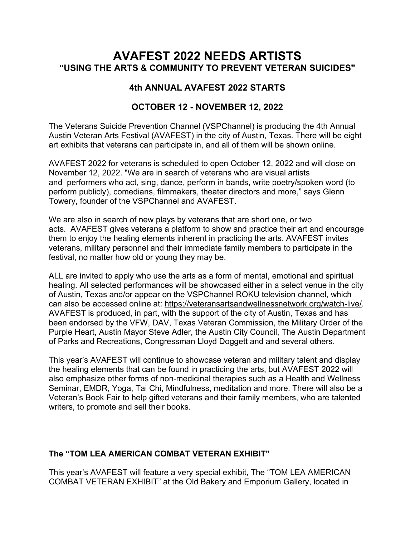## **AVAFEST 2022 NEEDS ARTISTS "USING THE ARTS & COMMUNITY TO PREVENT VETERAN SUICIDES"**

## **4th ANNUAL AVAFEST 2022 STARTS**

## **OCTOBER 12 - NOVEMBER 12, 2022**

The Veterans Suicide Prevention Channel (VSPChannel) is producing the 4th Annual Austin Veteran Arts Festival (AVAFEST) in the city of Austin, Texas. There will be eight art exhibits that veterans can participate in, and all of them will be shown online.

AVAFEST 2022 for veterans is scheduled to open October 12, 2022 and will close on November 12, 2022. "We are in search of veterans who are visual artists and performers who act, sing, dance, perform in bands, write poetry/spoken word (to perform publicly), comedians, filmmakers, theater directors and more," says Glenn Towery, founder of the VSPChannel and AVAFEST.

We are also in search of new plays by veterans that are short one, or two acts. AVAFEST gives veterans a platform to show and practice their art and encourage them to enjoy the healing elements inherent in practicing the arts. AVAFEST invites veterans, military personnel and their immediate family members to participate in the festival, no matter how old or young they may be.

ALL are invited to apply who use the arts as a form of mental, emotional and spiritual healing. All selected performances will be showcased either in a select venue in the city of Austin, Texas and/or appear on the VSPChannel ROKU television channel, which can also be accessed online at: [https://veteransartsandwellnessnetwork.org/watch-live/.](https://veteransartsandwellnessnetwork.org/watch-live/) AVAFEST is produced, in part, with the support of the city of Austin, Texas and has been endorsed by the VFW, DAV, Texas Veteran Commission, the Military Order of the Purple Heart, Austin Mayor Steve Adler, the Austin City Council, The Austin Department of Parks and Recreations, Congressman Lloyd Doggett and and several others.

This year's AVAFEST will continue to showcase veteran and military talent and display the healing elements that can be found in practicing the arts, but AVAFEST 2022 will also emphasize other forms of non-medicinal therapies such as a Health and Wellness Seminar, EMDR, Yoga, Tai Chi, Mindfulness, meditation and more. There will also be a Veteran's Book Fair to help gifted veterans and their family members, who are talented writers, to promote and sell their books.

## **The "TOM LEA AMERICAN COMBAT VETERAN EXHIBIT"**

This year's AVAFEST will feature a very special exhibit, The "TOM LEA AMERICAN COMBAT VETERAN EXHIBIT" at the Old Bakery and Emporium Gallery, located in